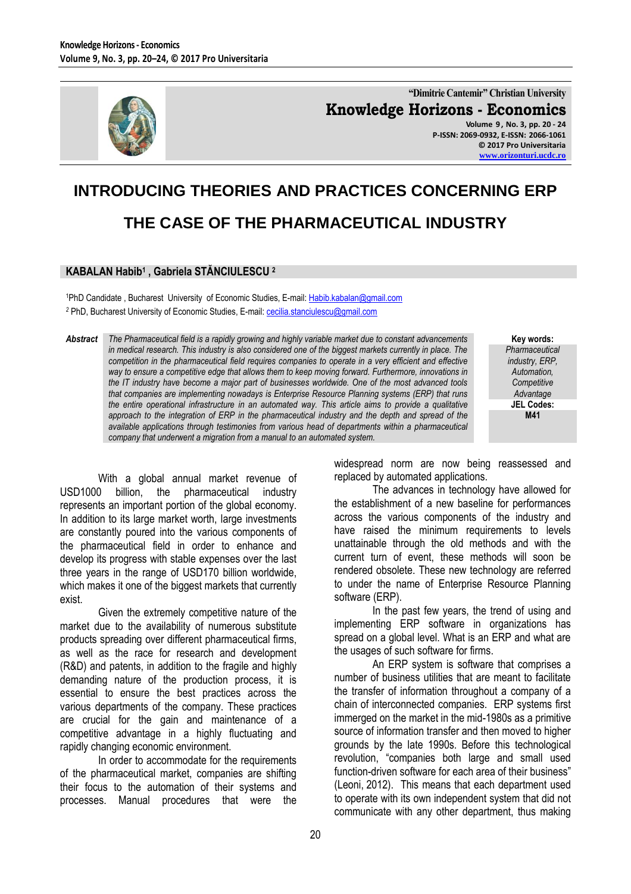

**"Dimitrie Cantemir" Christian University Knowledge Horizons - Economics Volume 9 , No. 3, pp. 20 - 24 P-ISSN: 2069-0932, E-ISSN: 2066-1061 © 2017 Pro Universitaria [www.orizonturi.ucdc.ro](http://www.orizonturi.ucdc.ro/)**

## **INTRODUCING THEORIES AND PRACTICES CONCERNING ERP THE CASE OF THE PHARMACEUTICAL INDUSTRY**

## **KABALAN Habib<sup>1</sup> , Gabriela STĂNCIULESCU <sup>2</sup>**

<sup>1</sup>PhD Candidate , Bucharest University of Economic Studies, E-mail[: Habib.kabalan@gmail.com](mailto:Habib.kabalan@gmail.com) <sup>2</sup> PhD, Bucharest University of Economic Studies, E-mail[: cecilia.stanciulescu@gmail.com](mailto:cecilia.stanciulescu@gmail.com)

*Abstract The Pharmaceutical field is a rapidly growing and highly variable market due to constant advancements in medical research. This industry is also considered one of the biggest markets currently in place. The competition in the pharmaceutical field requires companies to operate in a very efficient and effective way to ensure a competitive edge that allows them to keep moving forward. Furthermore, innovations in the IT industry have become a major part of businesses worldwide. One of the most advanced tools that companies are implementing nowadays is Enterprise Resource Planning systems (ERP) that runs the entire operational infrastructure in an automated way. This article aims to provide a qualitative approach to the integration of ERP in the pharmaceutical industry and the depth and spread of the available applications through testimonies from various head of departments within a pharmaceutical company that underwent a migration from a manual to an automated system.*

**Key words:** *Pharmaceutical industry, ERP, Automation, Competitive Advantage* **JEL Codes: M41**

With a global annual market revenue of USD1000 billion, the pharmaceutical industry represents an important portion of the global economy. In addition to its large market worth, large investments are constantly poured into the various components of the pharmaceutical field in order to enhance and develop its progress with stable expenses over the last three years in the range of USD170 billion worldwide, which makes it one of the biggest markets that currently exist.

Given the extremely competitive nature of the market due to the availability of numerous substitute products spreading over different pharmaceutical firms, as well as the race for research and development (R&D) and patents, in addition to the fragile and highly demanding nature of the production process, it is essential to ensure the best practices across the various departments of the company. These practices are crucial for the gain and maintenance of a competitive advantage in a highly fluctuating and rapidly changing economic environment.

In order to accommodate for the requirements of the pharmaceutical market, companies are shifting their focus to the automation of their systems and processes. Manual procedures that were the widespread norm are now being reassessed and replaced by automated applications.

The advances in technology have allowed for the establishment of a new baseline for performances across the various components of the industry and have raised the minimum requirements to levels unattainable through the old methods and with the current turn of event, these methods will soon be rendered obsolete. These new technology are referred to under the name of Enterprise Resource Planning software (ERP).

In the past few years, the trend of using and implementing ERP software in organizations has spread on a global level. What is an ERP and what are the usages of such software for firms.

An ERP system is software that comprises a number of business utilities that are meant to facilitate the transfer of information throughout a company of a chain of interconnected companies. ERP systems first immerged on the market in the mid-1980s as a primitive source of information transfer and then moved to higher grounds by the late 1990s. Before this technological revolution, "companies both large and small used function-driven software for each area of their business" [\(Leoni,](http://www.esopro.com/author/jody) 2012). This means that each department used to operate with its own independent system that did not communicate with any other department, thus making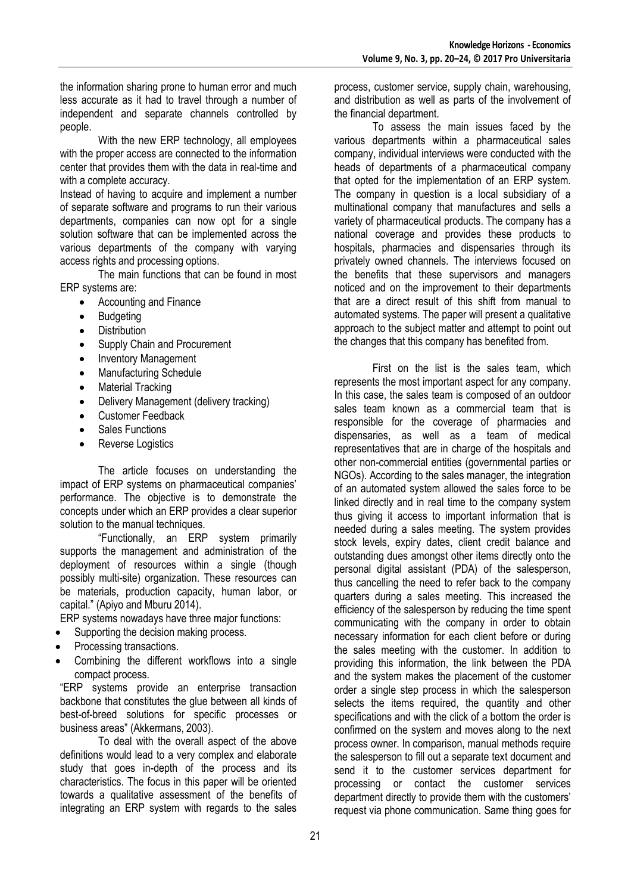the information sharing prone to human error and much less accurate as it had to travel through a number of independent and separate channels controlled by people.

With the new ERP technology, all employees with the proper access are connected to the information center that provides them with the data in real-time and with a complete accuracy.

Instead of having to acquire and implement a number of separate software and programs to run their various departments, companies can now opt for a single solution software that can be implemented across the various departments of the company with varying access rights and processing options.

The main functions that can be found in most ERP systems are:

- Accounting and Finance
- Budgeting
- Distribution
- Supply Chain and Procurement
- Inventory Management
- Manufacturing Schedule
- Material Tracking
- Delivery Management (delivery tracking)
- Customer Feedback
- Sales Functions
- Reverse Logistics

The article focuses on understanding the impact of ERP systems on pharmaceutical companies' performance. The objective is to demonstrate the concepts under which an ERP provides a clear superior solution to the manual techniques.

"Functionally, an ERP system primarily supports the management and administration of the deployment of resources within a single (though possibly multi-site) organization. These resources can be materials, production capacity, human labor, or capital." (Apiyo and Mburu 2014).

ERP systems nowadays have three major functions:

- Supporting the decision making process.
- Processing transactions.
- Combining the different workflows into a single compact process.

"ERP systems provide an enterprise transaction backbone that constitutes the glue between all kinds of best-of-breed solutions for specific processes or business areas" (Akkermans, 2003).

To deal with the overall aspect of the above definitions would lead to a very complex and elaborate study that goes in-depth of the process and its characteristics. The focus in this paper will be oriented towards a qualitative assessment of the benefits of integrating an ERP system with regards to the sales

process, customer service, supply chain, warehousing, and distribution as well as parts of the involvement of the financial department.

To assess the main issues faced by the various departments within a pharmaceutical sales company, individual interviews were conducted with the heads of departments of a pharmaceutical company that opted for the implementation of an ERP system. The company in question is a local subsidiary of a multinational company that manufactures and sells a variety of pharmaceutical products. The company has a national coverage and provides these products to hospitals, pharmacies and dispensaries through its privately owned channels. The interviews focused on the benefits that these supervisors and managers noticed and on the improvement to their departments that are a direct result of this shift from manual to automated systems. The paper will present a qualitative approach to the subject matter and attempt to point out the changes that this company has benefited from.

First on the list is the sales team, which represents the most important aspect for any company. In this case, the sales team is composed of an outdoor sales team known as a commercial team that is responsible for the coverage of pharmacies and dispensaries, as well as a team of medical representatives that are in charge of the hospitals and other non-commercial entities (governmental parties or NGOs). According to the sales manager, the integration of an automated system allowed the sales force to be linked directly and in real time to the company system thus giving it access to important information that is needed during a sales meeting. The system provides stock levels, expiry dates, client credit balance and outstanding dues amongst other items directly onto the personal digital assistant (PDA) of the salesperson, thus cancelling the need to refer back to the company quarters during a sales meeting. This increased the efficiency of the salesperson by reducing the time spent communicating with the company in order to obtain necessary information for each client before or during the sales meeting with the customer. In addition to providing this information, the link between the PDA and the system makes the placement of the customer order a single step process in which the salesperson selects the items required, the quantity and other specifications and with the click of a bottom the order is confirmed on the system and moves along to the next process owner. In comparison, manual methods require the salesperson to fill out a separate text document and send it to the customer services department for processing or contact the customer services department directly to provide them with the customers' request via phone communication. Same thing goes for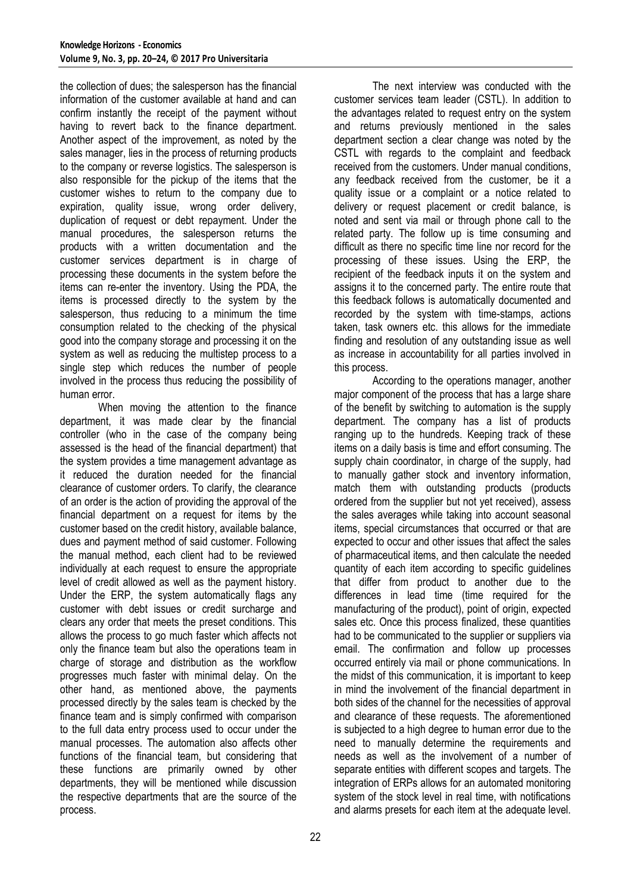the collection of dues; the salesperson has the financial information of the customer available at hand and can confirm instantly the receipt of the payment without having to revert back to the finance department. Another aspect of the improvement, as noted by the sales manager, lies in the process of returning products to the company or reverse logistics. The salesperson is also responsible for the pickup of the items that the customer wishes to return to the company due to expiration, quality issue, wrong order delivery, duplication of request or debt repayment. Under the manual procedures, the salesperson returns the products with a written documentation and the customer services department is in charge of processing these documents in the system before the items can re-enter the inventory. Using the PDA, the items is processed directly to the system by the salesperson, thus reducing to a minimum the time consumption related to the checking of the physical good into the company storage and processing it on the system as well as reducing the multistep process to a single step which reduces the number of people involved in the process thus reducing the possibility of human error.

When moving the attention to the finance department, it was made clear by the financial controller (who in the case of the company being assessed is the head of the financial department) that the system provides a time management advantage as it reduced the duration needed for the financial clearance of customer orders. To clarify, the clearance of an order is the action of providing the approval of the financial department on a request for items by the customer based on the credit history, available balance, dues and payment method of said customer. Following the manual method, each client had to be reviewed individually at each request to ensure the appropriate level of credit allowed as well as the payment history. Under the ERP, the system automatically flags any customer with debt issues or credit surcharge and clears any order that meets the preset conditions. This allows the process to go much faster which affects not only the finance team but also the operations team in charge of storage and distribution as the workflow progresses much faster with minimal delay. On the other hand, as mentioned above, the payments processed directly by the sales team is checked by the finance team and is simply confirmed with comparison to the full data entry process used to occur under the manual processes. The automation also affects other functions of the financial team, but considering that these functions are primarily owned by other departments, they will be mentioned while discussion the respective departments that are the source of the process.

The next interview was conducted with the customer services team leader (CSTL). In addition to the advantages related to request entry on the system and returns previously mentioned in the sales department section a clear change was noted by the CSTL with regards to the complaint and feedback received from the customers. Under manual conditions, any feedback received from the customer, be it a quality issue or a complaint or a notice related to delivery or request placement or credit balance, is noted and sent via mail or through phone call to the related party. The follow up is time consuming and difficult as there no specific time line nor record for the processing of these issues. Using the ERP, the recipient of the feedback inputs it on the system and assigns it to the concerned party. The entire route that this feedback follows is automatically documented and recorded by the system with time-stamps, actions taken, task owners etc. this allows for the immediate finding and resolution of any outstanding issue as well as increase in accountability for all parties involved in this process.

According to the operations manager, another major component of the process that has a large share of the benefit by switching to automation is the supply department. The company has a list of products ranging up to the hundreds. Keeping track of these items on a daily basis is time and effort consuming. The supply chain coordinator, in charge of the supply, had to manually gather stock and inventory information, match them with outstanding products (products ordered from the supplier but not yet received), assess the sales averages while taking into account seasonal items, special circumstances that occurred or that are expected to occur and other issues that affect the sales of pharmaceutical items, and then calculate the needed quantity of each item according to specific guidelines that differ from product to another due to the differences in lead time (time required for the manufacturing of the product), point of origin, expected sales etc. Once this process finalized, these quantities had to be communicated to the supplier or suppliers via email. The confirmation and follow up processes occurred entirely via mail or phone communications. In the midst of this communication, it is important to keep in mind the involvement of the financial department in both sides of the channel for the necessities of approval and clearance of these requests. The aforementioned is subjected to a high degree to human error due to the need to manually determine the requirements and needs as well as the involvement of a number of separate entities with different scopes and targets. The integration of ERPs allows for an automated monitoring system of the stock level in real time, with notifications and alarms presets for each item at the adequate level.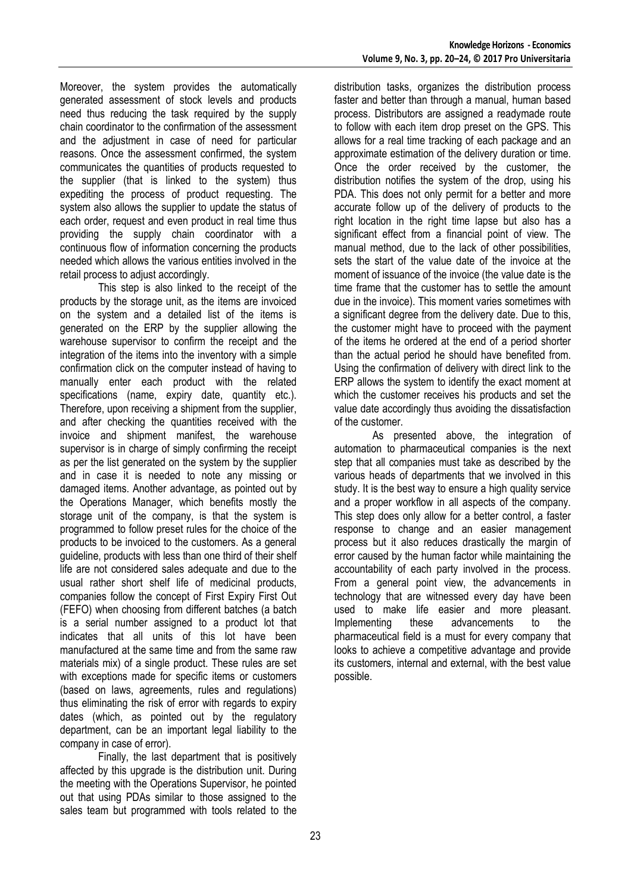Moreover, the system provides the automatically generated assessment of stock levels and products need thus reducing the task required by the supply chain coordinator to the confirmation of the assessment and the adjustment in case of need for particular reasons. Once the assessment confirmed, the system communicates the quantities of products requested to the supplier (that is linked to the system) thus expediting the process of product requesting. The system also allows the supplier to update the status of each order, request and even product in real time thus providing the supply chain coordinator with a continuous flow of information concerning the products needed which allows the various entities involved in the retail process to adjust accordingly.

This step is also linked to the receipt of the products by the storage unit, as the items are invoiced on the system and a detailed list of the items is generated on the ERP by the supplier allowing the warehouse supervisor to confirm the receipt and the integration of the items into the inventory with a simple confirmation click on the computer instead of having to manually enter each product with the related specifications (name, expiry date, quantity etc.). Therefore, upon receiving a shipment from the supplier, and after checking the quantities received with the invoice and shipment manifest, the warehouse supervisor is in charge of simply confirming the receipt as per the list generated on the system by the supplier and in case it is needed to note any missing or damaged items. Another advantage, as pointed out by the Operations Manager, which benefits mostly the storage unit of the company, is that the system is programmed to follow preset rules for the choice of the products to be invoiced to the customers. As a general guideline, products with less than one third of their shelf life are not considered sales adequate and due to the usual rather short shelf life of medicinal products, companies follow the concept of First Expiry First Out (FEFO) when choosing from different batches (a batch is a serial number assigned to a product lot that indicates that all units of this lot have been manufactured at the same time and from the same raw materials mix) of a single product. These rules are set with exceptions made for specific items or customers (based on laws, agreements, rules and regulations) thus eliminating the risk of error with regards to expiry dates (which, as pointed out by the regulatory department, can be an important legal liability to the company in case of error).

Finally, the last department that is positively affected by this upgrade is the distribution unit. During the meeting with the Operations Supervisor, he pointed out that using PDAs similar to those assigned to the sales team but programmed with tools related to the

distribution tasks, organizes the distribution process faster and better than through a manual, human based process. Distributors are assigned a readymade route to follow with each item drop preset on the GPS. This allows for a real time tracking of each package and an approximate estimation of the delivery duration or time. Once the order received by the customer, the distribution notifies the system of the drop, using his PDA. This does not only permit for a better and more accurate follow up of the delivery of products to the right location in the right time lapse but also has a significant effect from a financial point of view. The manual method, due to the lack of other possibilities, sets the start of the value date of the invoice at the moment of issuance of the invoice (the value date is the time frame that the customer has to settle the amount due in the invoice). This moment varies sometimes with a significant degree from the delivery date. Due to this, the customer might have to proceed with the payment of the items he ordered at the end of a period shorter than the actual period he should have benefited from. Using the confirmation of delivery with direct link to the ERP allows the system to identify the exact moment at which the customer receives his products and set the value date accordingly thus avoiding the dissatisfaction of the customer.

As presented above, the integration of automation to pharmaceutical companies is the next step that all companies must take as described by the various heads of departments that we involved in this study. It is the best way to ensure a high quality service and a proper workflow in all aspects of the company. This step does only allow for a better control, a faster response to change and an easier management process but it also reduces drastically the margin of error caused by the human factor while maintaining the accountability of each party involved in the process. From a general point view, the advancements in technology that are witnessed every day have been used to make life easier and more pleasant. Implementing these advancements to the pharmaceutical field is a must for every company that looks to achieve a competitive advantage and provide its customers, internal and external, with the best value possible.